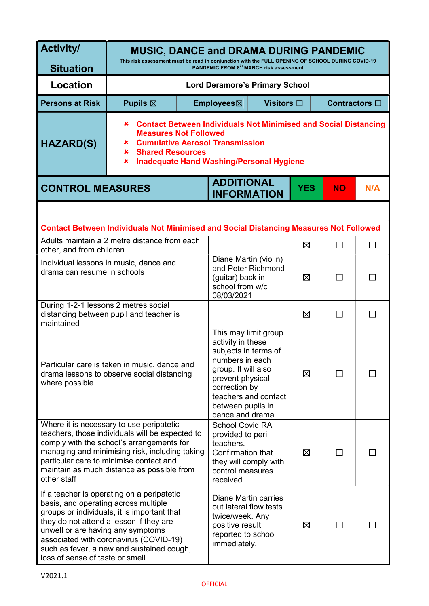| <b>Activity/</b>                                                                                                                                                                                                                                                                                                                            | <b>MUSIC, DANCE and DRAMA DURING PANDEMIC</b>                                                                                                                                                                                                      |  |                                                                                                                                                                                          |                      |               |           |        |
|---------------------------------------------------------------------------------------------------------------------------------------------------------------------------------------------------------------------------------------------------------------------------------------------------------------------------------------------|----------------------------------------------------------------------------------------------------------------------------------------------------------------------------------------------------------------------------------------------------|--|------------------------------------------------------------------------------------------------------------------------------------------------------------------------------------------|----------------------|---------------|-----------|--------|
| <b>Situation</b>                                                                                                                                                                                                                                                                                                                            | This risk assessment must be read in conjunction with the FULL OPENING OF SCHOOL DURING COVID-19<br>PANDEMIC FROM 8 <sup>th</sup> MARCH risk assessment                                                                                            |  |                                                                                                                                                                                          |                      |               |           |        |
| <b>Location</b>                                                                                                                                                                                                                                                                                                                             | <b>Lord Deramore's Primary School</b>                                                                                                                                                                                                              |  |                                                                                                                                                                                          |                      |               |           |        |
| <b>Persons at Risk</b>                                                                                                                                                                                                                                                                                                                      | Pupils $\boxtimes$                                                                                                                                                                                                                                 |  | Employees⊠                                                                                                                                                                               | Visitors $\square$   | Contractors □ |           |        |
| <b>HAZARD(S)</b>                                                                                                                                                                                                                                                                                                                            | <b>Contact Between Individuals Not Minimised and Social Distancing</b><br>×<br><b>Measures Not Followed</b><br><b>Cumulative Aerosol Transmission</b><br>×<br><b>Shared Resources</b><br>×<br><b>Inadequate Hand Washing/Personal Hygiene</b><br>× |  |                                                                                                                                                                                          |                      |               |           |        |
| <b>CONTROL MEASURES</b>                                                                                                                                                                                                                                                                                                                     |                                                                                                                                                                                                                                                    |  | <b>ADDITIONAL</b><br><b>INFORMATION</b>                                                                                                                                                  |                      | <b>YES</b>    | <b>NO</b> | N/A    |
|                                                                                                                                                                                                                                                                                                                                             |                                                                                                                                                                                                                                                    |  |                                                                                                                                                                                          |                      |               |           |        |
|                                                                                                                                                                                                                                                                                                                                             | <b>Contact Between Individuals Not Minimised and Social Distancing Measures Not Followed</b>                                                                                                                                                       |  |                                                                                                                                                                                          |                      |               |           |        |
| Adults maintain a 2 metre distance from each<br>other, and from children                                                                                                                                                                                                                                                                    |                                                                                                                                                                                                                                                    |  |                                                                                                                                                                                          |                      | $\boxtimes$   | $\Box$    | $\Box$ |
| Individual lessons in music, dance and<br>drama can resume in schools                                                                                                                                                                                                                                                                       |                                                                                                                                                                                                                                                    |  | Diane Martin (violin)<br>and Peter Richmond<br>(guitar) back in<br>school from w/c<br>08/03/2021                                                                                         |                      | X             | П         | П      |
| During 1-2-1 lessons 2 metres social<br>distancing between pupil and teacher is<br>maintained                                                                                                                                                                                                                                               |                                                                                                                                                                                                                                                    |  |                                                                                                                                                                                          |                      | X             | $\Box$    | $\Box$ |
| Particular care is taken in music, dance and<br>drama lessons to observe social distancing<br>where possible                                                                                                                                                                                                                                |                                                                                                                                                                                                                                                    |  | This may limit group<br>activity in these<br>subjects in terms of<br>numbers in each<br>group. It will also<br>prevent physical<br>correction by<br>between pupils in<br>dance and drama | teachers and contact | X             |           |        |
| Where it is necessary to use peripatetic<br>teachers, those individuals will be expected to<br>comply with the school's arrangements for<br>managing and minimising risk, including taking<br>particular care to minimise contact and<br>maintain as much distance as possible from<br>other staff                                          |                                                                                                                                                                                                                                                    |  | <b>School Covid RA</b><br>provided to peri<br>teachers.<br>Confirmation that<br>they will comply with<br>control measures<br>received.                                                   |                      | X             | П         |        |
| If a teacher is operating on a peripatetic<br>basis, and operating across multiple<br>groups or individuals, it is important that<br>they do not attend a lesson if they are<br>unwell or are having any symptoms<br>associated with coronavirus (COVID-19)<br>such as fever, a new and sustained cough,<br>loss of sense of taste or smell |                                                                                                                                                                                                                                                    |  | Diane Martin carries<br>out lateral flow tests<br>twice/week. Any<br>positive result<br>reported to school<br>immediately.                                                               |                      | X             |           |        |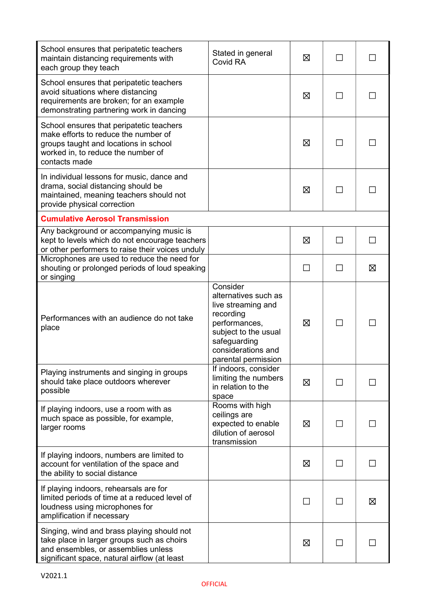| School ensures that peripatetic teachers<br>maintain distancing requirements with<br>each group they teach                                                                       | Stated in general<br>Covid RA                                                                                                                                             | ⊠           |                          |   |
|----------------------------------------------------------------------------------------------------------------------------------------------------------------------------------|---------------------------------------------------------------------------------------------------------------------------------------------------------------------------|-------------|--------------------------|---|
| School ensures that peripatetic teachers<br>avoid situations where distancing<br>requirements are broken; for an example<br>demonstrating partnering work in dancing             |                                                                                                                                                                           | X           |                          |   |
| School ensures that peripatetic teachers<br>make efforts to reduce the number of<br>groups taught and locations in school<br>worked in, to reduce the number of<br>contacts made |                                                                                                                                                                           | 区           |                          |   |
| In individual lessons for music, dance and<br>drama, social distancing should be<br>maintained, meaning teachers should not<br>provide physical correction                       |                                                                                                                                                                           | $\boxtimes$ | $\overline{\phantom{a}}$ |   |
| <b>Cumulative Aerosol Transmission</b>                                                                                                                                           |                                                                                                                                                                           |             |                          |   |
| Any background or accompanying music is<br>kept to levels which do not encourage teachers<br>or other performers to raise their voices unduly                                    |                                                                                                                                                                           | X           | H                        |   |
| Microphones are used to reduce the need for<br>shouting or prolonged periods of loud speaking<br>or singing                                                                      |                                                                                                                                                                           |             |                          | ⊠ |
| Performances with an audience do not take<br>place                                                                                                                               | Consider<br>alternatives such as<br>live streaming and<br>recording<br>performances,<br>subject to the usual<br>safeguarding<br>considerations and<br>parental permission | X           | $\Box$                   |   |
| Playing instruments and singing in groups<br>should take place outdoors wherever<br>possible                                                                                     | If indoors, consider<br>limiting the numbers<br>in relation to the<br>space                                                                                               | X           | $\mathsf{L}$             |   |
| If playing indoors, use a room with as<br>much space as possible, for example,<br>larger rooms                                                                                   | Rooms with high<br>ceilings are<br>expected to enable<br>dilution of aerosol<br>transmission                                                                              | X           |                          |   |
| If playing indoors, numbers are limited to<br>account for ventilation of the space and<br>the ability to social distance                                                         |                                                                                                                                                                           | Ø           | ΙI                       |   |
| If playing indoors, rehearsals are for<br>limited periods of time at a reduced level of<br>loudness using microphones for<br>amplification if necessary                          |                                                                                                                                                                           |             |                          | ⊠ |
| Singing, wind and brass playing should not<br>take place in larger groups such as choirs<br>and ensembles, or assemblies unless<br>significant space, natural airflow (at least  |                                                                                                                                                                           | 区           | ΙI                       |   |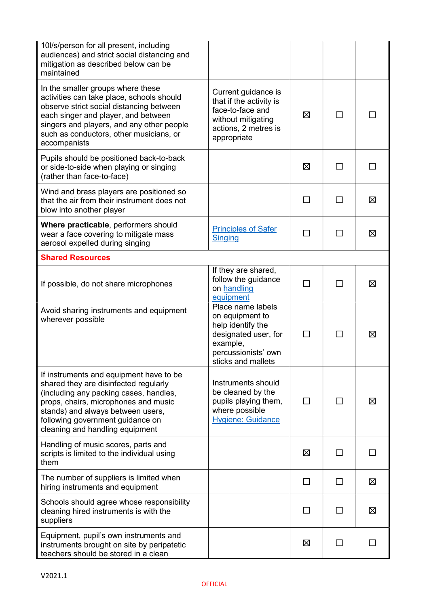| 10/s/person for all present, including<br>audiences) and strict social distancing and<br>mitigation as described below can be<br>maintained                                                                                                                                    |                                                                                                                                            |        |        |   |
|--------------------------------------------------------------------------------------------------------------------------------------------------------------------------------------------------------------------------------------------------------------------------------|--------------------------------------------------------------------------------------------------------------------------------------------|--------|--------|---|
| In the smaller groups where these<br>activities can take place, schools should<br>observe strict social distancing between<br>each singer and player, and between<br>singers and players, and any other people<br>such as conductors, other musicians, or<br>accompanists      | Current guidance is<br>that if the activity is<br>face-to-face and<br>without mitigating<br>actions, 2 metres is<br>appropriate            | X      | $\Box$ |   |
| Pupils should be positioned back-to-back<br>or side-to-side when playing or singing<br>(rather than face-to-face)                                                                                                                                                              |                                                                                                                                            | ⊠      | H      |   |
| Wind and brass players are positioned so<br>that the air from their instrument does not<br>blow into another player                                                                                                                                                            |                                                                                                                                            | П      | ΙI     | ⊠ |
| Where practicable, performers should<br>wear a face covering to mitigate mass<br>aerosol expelled during singing                                                                                                                                                               | <b>Principles of Safer</b><br><b>Singing</b>                                                                                               | П      | П      | ⊠ |
| <b>Shared Resources</b>                                                                                                                                                                                                                                                        |                                                                                                                                            |        |        |   |
| If possible, do not share microphones                                                                                                                                                                                                                                          | If they are shared,<br>follow the guidance<br>on handling<br>equipment                                                                     | П      | п      | ⊠ |
| Avoid sharing instruments and equipment<br>wherever possible                                                                                                                                                                                                                   | Place name labels<br>on equipment to<br>help identify the<br>designated user, for<br>example,<br>percussionists' own<br>sticks and mallets | П      |        | ⊠ |
| If instruments and equipment have to be<br>shared they are disinfected regularly<br>(including any packing cases, handles,<br>props, chairs, microphones and music<br>stands) and always between users,<br>following government guidance on<br>cleaning and handling equipment | Instruments should<br>be cleaned by the<br>pupils playing them,<br>where possible<br><b>Hygiene: Guidance</b>                              | П      |        | ⊠ |
| Handling of music scores, parts and<br>scripts is limited to the individual using<br>them                                                                                                                                                                                      |                                                                                                                                            | 区      | ΙI     |   |
| The number of suppliers is limited when<br>hiring instruments and equipment                                                                                                                                                                                                    |                                                                                                                                            | $\Box$ | П      | 区 |
| Schools should agree whose responsibility<br>cleaning hired instruments is with the<br>suppliers                                                                                                                                                                               |                                                                                                                                            | $\Box$ |        | ⊠ |
| Equipment, pupil's own instruments and<br>instruments brought on site by peripatetic<br>teachers should be stored in a clean                                                                                                                                                   |                                                                                                                                            | 区      | П      |   |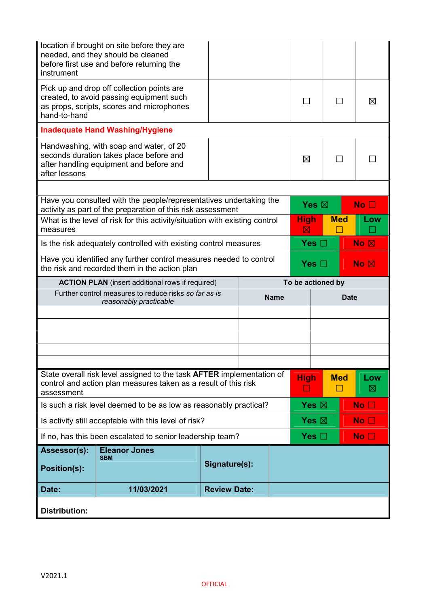| instrument                                                                                                          | location if brought on site before they are<br>needed, and they should be cleaned<br>before first use and before returning the           |                     |  |             |                         |                      |             |                    |  |
|---------------------------------------------------------------------------------------------------------------------|------------------------------------------------------------------------------------------------------------------------------------------|---------------------|--|-------------|-------------------------|----------------------|-------------|--------------------|--|
| hand-to-hand                                                                                                        | Pick up and drop off collection points are<br>created, to avoid passing equipment such<br>as props, scripts, scores and microphones      |                     |  |             |                         |                      |             | ⊠                  |  |
|                                                                                                                     | <b>Inadequate Hand Washing/Hygiene</b>                                                                                                   |                     |  |             |                         |                      |             |                    |  |
| after lessons                                                                                                       | Handwashing, with soap and water, of 20<br>seconds duration takes place before and<br>after handling equipment and before and            |                     |  |             | ⊠                       | П                    |             |                    |  |
|                                                                                                                     |                                                                                                                                          |                     |  |             |                         |                      |             |                    |  |
|                                                                                                                     | Have you consulted with the people/representatives undertaking the<br>activity as part of the preparation of this risk assessment        |                     |  |             | Yes $\boxtimes$         |                      |             | No <sub>1</sub>    |  |
| measures                                                                                                            | What is the level of risk for this activity/situation with existing control                                                              |                     |  |             | High<br><b>Med</b><br>区 |                      | Low         |                    |  |
| Yes $\square$<br>Is the risk adequately controlled with existing control measures                                   |                                                                                                                                          |                     |  |             |                         |                      |             | $No \n  \boxtimes$ |  |
| Have you identified any further control measures needed to control<br>the risk and recorded them in the action plan |                                                                                                                                          |                     |  |             | No R<br>Yes $\Box$      |                      |             |                    |  |
| <b>ACTION PLAN</b> (insert additional rows if required)<br>To be actioned by                                        |                                                                                                                                          |                     |  |             |                         |                      |             |                    |  |
|                                                                                                                     |                                                                                                                                          |                     |  |             |                         |                      |             |                    |  |
|                                                                                                                     | Further control measures to reduce risks so far as is<br>reasonably practicable                                                          |                     |  | <b>Name</b> |                         |                      | <b>Date</b> |                    |  |
|                                                                                                                     |                                                                                                                                          |                     |  |             |                         |                      |             |                    |  |
|                                                                                                                     |                                                                                                                                          |                     |  |             |                         |                      |             |                    |  |
|                                                                                                                     |                                                                                                                                          |                     |  |             |                         |                      |             |                    |  |
|                                                                                                                     |                                                                                                                                          |                     |  |             |                         |                      |             |                    |  |
| assessment                                                                                                          | State overall risk level assigned to the task AFTER implementation of<br>control and action plan measures taken as a result of this risk |                     |  |             | <b>High</b><br>ப        | <b>Med</b><br>$\Box$ |             | Low<br>⊠           |  |
|                                                                                                                     | Is such a risk level deemed to be as low as reasonably practical?                                                                        |                     |  |             | Yes $\boxtimes$         |                      |             | No <sub>1</sub>    |  |
|                                                                                                                     | Is activity still acceptable with this level of risk?                                                                                    |                     |  |             | Yes $\boxtimes$         |                      |             | No <sub>1</sub>    |  |
|                                                                                                                     | If no, has this been escalated to senior leadership team?                                                                                |                     |  |             | Yes $\Box$              |                      |             | No <sub>1</sub>    |  |
| Assessor(s):                                                                                                        | <b>Eleanor Jones</b>                                                                                                                     |                     |  |             |                         |                      |             |                    |  |
| <b>Position(s):</b>                                                                                                 | <b>SBM</b>                                                                                                                               | Signature(s):       |  |             |                         |                      |             |                    |  |
| Date:                                                                                                               | 11/03/2021                                                                                                                               | <b>Review Date:</b> |  |             |                         |                      |             |                    |  |